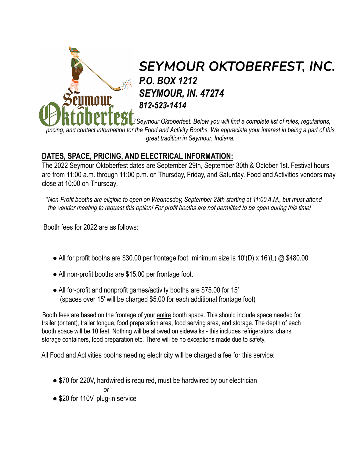

# *SEYMOUR OKTOBERFEST, INC. P.O. BOX 1212 SEYMOUR, IN. 47274 812-523-1414*

*Thank you for interest in the 202*2 *Seymour Oktoberfest. Below you will find a complete list of rules, regulations, pricing, and contact information for the Food and Activity Booths. We appreciate your interest in being a part of this great tradition in Seymour, Indiana.*

## **DATES, SPACE, PRICING, AND ELECTRICAL INFORMATION:**

The 2022 Seymour Oktoberfest dates are September 29th, September 30th & October 1st. Festival hours are from 11:00 a.m. through 11:00 p.m. on Thursday, Friday, and Saturday. Food and Activities vendors may close at 10:00 on Thursday.

*\*Non-Profit booths are eligible to open on Wednesday, September 2*8*th starting at 11:00 A.M., but must attend the* vendor meeting to request this option! For profit booths are not permitted to be open during this time!

Booth fees for 2022 are as follows:

- All for profit booths are \$30.00 per frontage foot, minimum size is 10'(D) x 16'(L)  $\omega$  \$480.00
- All non-profit booths are \$15.00 per frontage foot.
- All for-profit and nonprofit games/activity booths are \$75.00 for 15' (spaces over 15' will be charged \$5.00 for each additional frontage foot)

Booth fees are based on the frontage of your entire booth space. This should include space needed for trailer (or tent), trailer tongue, food preparation area, food serving area, and storage. The depth of each booth space will be 10 feet. Nothing will be allowed on sidewalks - this includes refrigerators, chairs, storage containers, food preparation etc. There will be no exceptions made due to safety.

All Food and Activities booths needing electricity will be charged a fee for this service:

• \$70 for 220V, hardwired is required, must be hardwired by our electrician

*or*

• \$20 for 110V, plug-in service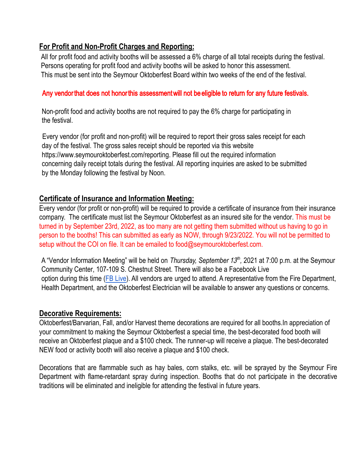## **For Profit and Non-Profit Charges and Reporting:**

All for profit food and activity booths will be assessed a 6% charge of all total receipts during the festival. Persons operating for profit food and activity booths will be asked to honor this assessment. This must be sent into the Seymour Oktoberfest Board within two weeks of the end of the festival.

## Any vendor that does not honor this assessment will not be eligible to return for any future festivals.

Non-profit food and activity booths are not required to pay the 6% charge for participating in the festival.

Every vendor (for profit and non-profit) will be required to report their gross sales receipt for each day of the festival. The gross sales receipt should be reported via this website <https://www.seymouroktoberfest.com/reporting>. Please fill out the required information concerning daily receipt totals during the festival. All reporting inquiries are asked to be submitted by the Monday following the festival by Noon.

### **Certificate of Insurance and Information Meeting:**

Every vendor (for profit or non-profit) will be required to provide a certificate of insurance from their insurance company. The certificate must list the Seymour Oktoberfest as an insured site for the vendor. This must be turned in by September 23rd, 2022, as too many are not getting them submitted without us having to go in person to the booths! This can submitted as early as NOW, through 9/23/2022. You will not be permitted to setup without the COI on file. It can be emailed to food@seymouroktoberfest.com.

A "Vendor Information Meeting" will be held on *Thursday, September 13<sup>th</sup>,* 2021 at 7:00 p.m. at the Seymour Community Center, 107-109 S. Chestnut Street. There will also be a Facebook Live option during this time ([FB Live\)](https://fb.me/e/1ajt9ovaY). All vendors are urged to attend. A representative from the Fire Department, Health Department, and the Oktoberfest Electrician will be available to answer any questions or concerns.

#### **Decorative Requirements:**

Oktoberfest/Barvarian, Fall, and/or Harvest theme decorations are required for all booths.In appreciation of your commitment to making the Seymour Oktoberfest a special time, the best-decorated food booth will receive an Oktoberfest plaque and a \$100 check. The runner-up will receive a plaque. The best-decorated NEW food or activity booth will also receive a plaque and \$100 check.

Decorations that are flammable such as hay bales, corn stalks, etc. will be sprayed by the Seymour Fire Department with flame-retardant spray during inspection. Booths that do not participate in the decorative traditions will be eliminated and ineligible for attending the festival in future years.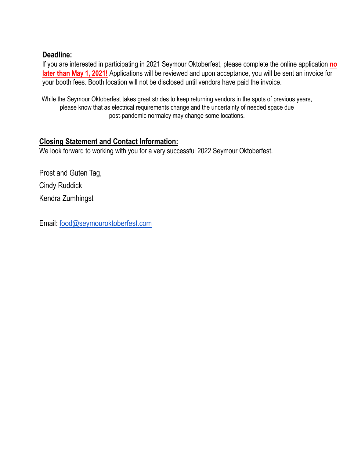## **Deadline:**

If you are interested in participating in 2021 Seymour Oktoberfest, please complete the online application **no later than** May **1, 2021!** Applications will be reviewed and upon acceptance, you will be sent an invoice for your booth fees. Booth location will not be disclosed until vendors have paid the invoice.

While the Seymour Oktoberfest takes great strides to keep returning vendors in the spots of previous years, please know that as electrical requirements change and the uncertainty of needed space due post-pandemic normalcy may change some locations.

## **Closing Statement and Contact Information:**

We look forward to working with you for a very successful 2022 Seymour Oktoberfest.

Prost and Guten Tag, Cindy Ruddick Kendra Zumhingst

Email: [food@seymouroktoberfest.com](mailto:food@seymouroktoberfest.com)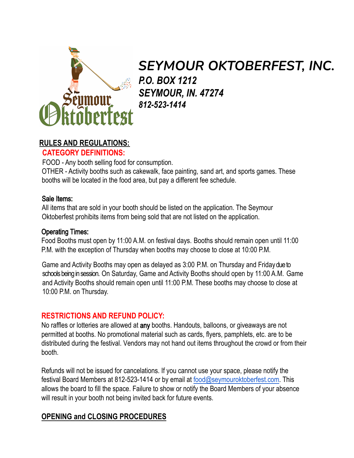

# *SEYMOUR OKTOBERFEST, INC. P.O. BOX 1212 SEYMOUR, IN. 47274 812-523-1414*

## **RULES AND REGULATIONS:**

## **CATEGORY DEFINITIONS:**

FOOD - Any booth selling food for consumption.

OTHER - Activity booths such as cakewalk, face painting, sand art, and sports games. These booths will be located in the food area, but pay a different fee schedule.

#### Sale Items:

All items that are sold in your booth should be listed on the application. The Seymour Oktoberfest prohibits items from being sold that are not listed on the application.

#### Operating Times:

Food Booths must open by 11:00 A.M. on festival days. Booths should remain open until 11:00 P.M. with the exception of Thursday when booths may choose to close at 10:00 P.M.

Game and Activity Booths may open as delayed as 3:00 P.M. on Thursday and Friday due to schools being in session. On Saturday, Game and Activity Booths should open by 11:00 A.M. Game and Activity Booths should remain open until 11:00 P.M. These booths may choose to close at 10:00 P.M. on Thursday.

## **RESTRICTIONS AND REFUND POLICY:**

No raffles or lotteries are allowed at any booths. Handouts, balloons, or giveaways are not permitted at booths. No promotional material such as cards, flyers, pamphlets, etc. are to be distributed during the festival. Vendors may not hand out items throughout the crowd or from their booth.

Refunds will not be issued for cancelations. If you cannot use your space, please notify the festival Board Members at 812-523-1414 or by email at [food@seymouroktoberfest.com](mailto:food@seymouroktoberfest.com). This allows the board to fill the space. Failure to show or notify the Board Members of your absence will result in your booth not being invited back for future events.

## **OPENING and CLOSING PROCEDURES**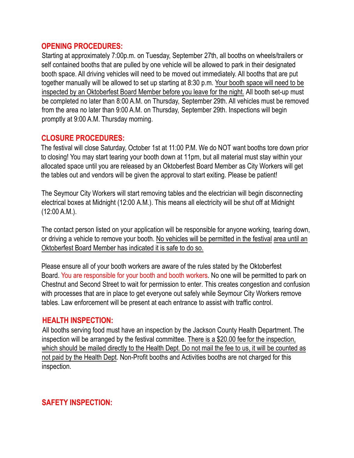#### **OPENING PROCEDURES:**

Starting at approximately 7:00p.m. on Tuesday, September 27th, all booths on wheels/trailers or self contained booths that are pulled by one vehicle will be allowed to park in their designated booth space. All driving vehicles will need to be moved out immediately. All booths that are put together manually will be allowed to set up starting at 8:30 p.m. Your booth space will need to be inspected by an Oktoberfest Board Member before you leave for the night. All booth set-up must be completed no later than 8:00 A.M. on Thursday, September 29th. All vehicles must be removed from the area no later than 9:00 A.M. on Thursday, September 29th. Inspections will begin promptly at 9:00 A.M. Thursday morning.

### **CLOSURE PROCEDURES:**

The festival will close Saturday, October 1st at 11:00 P.M. We do NOT want booths tore down prior to closing! You may start tearing your booth down at 11pm, but all material must stay within your allocated space until you are released by an Oktoberfest Board Member as City Workers will get the tables out and vendors will be given the approval to start exiting. Please be patient!

The Seymour City Workers will start removing tables and the electrician will begin disconnecting electrical boxes at Midnight (12:00 A.M.). This means all electricity will be shut off at Midnight (12:00 A.M.).

The contact person listed on your application will be responsible for anyone working, tearing down, or driving a vehicle to remove your booth. No vehicles will be permitted in the festival area until an Oktoberfest Board Member has indicated it is safe to do so.

Please ensure all of your booth workers are aware of the rules stated by the Oktoberfest Board. You are responsible for your booth and booth workers. No one will be permitted to park on Chestnut and Second Street to wait for permission to enter. This creates congestion and confusion with processes that are in place to get everyone out safely while Seymour City Workers remove tables. Law enforcement will be present at each entrance to assist with traffic control.

## **HEALTH INSPECTION:**

All booths serving food must have an inspection by the Jackson County Health Department. The inspection will be arranged by the festival committee. There is a \$20.00 fee for the inspection, which should be mailed directly to the Health Dept. Do not mail the fee to us, it will be counted as not paid by the Health Dept. Non-Profit booths and Activities booths are not charged for this inspection.

## **SAFETY INSPECTION:**